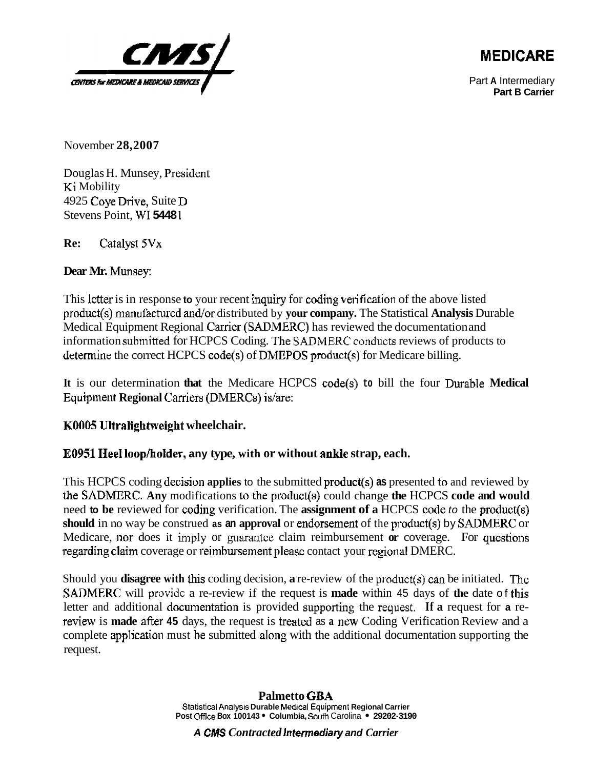

## **MEDICARE**

Part **A** Intermediary **Part B Carrier** 

November **28,2007** 

Douglas H. Munsey, President Ki Mobility 4925 Coye Drive, Suite D Stevens Point, WI **5448** 1

**Re:** Calalysl **5Vx** 

## **Dear Mr. Munsey:**

This lctter is in response **to** your recent inquiry for coding verification of the above listed product(sj manu facturcd and/or distributed by **your company.** The Statistical **Analysis** Durable Medical Equipment Regional Carricr **(S** ADMERC) has reviewed the documentation and information submitted for HCPCS Coding. The SADMERC conducts reviews of products to **determine** the correct HCPCS code(s) of DMEPOS pmduct(s) for Medicare billing.

It is our determination that the Medicare HCPCS code(s) to bill the four Durable Medical **Equipment Regional Carriers (DMERCs) is/are:** 

## **JCOfl05 Ultralightweight wheelchair.**

## **E0951 Heel looplhoIder, any type, with or without ankle strap, each.**

This HCPCS coding decision **applies** to the submitted **product(s) as** presented tn and reviewed by the SADMERC. Any modifications to the product(s) could change the HCPCS code and would need **to be** reviewed for coding verification. The **assignment of a** HCPCS code to the product(s) **should** in no way be construed **as an approval** or endorsement of the product(s) by SADMERC or Medicare, nor does it imply or guarantee claim reimbursement **or** coverage. For questions regarding claim coverage or reimbursement pleasc contact your regional DMERC.

Should you **disagree with** this coding decision, **a** re-review of the product(s) can be initiated. Thc **SAnMERC** will providc a re-review if the request is **made** within 45 days of **the** date of this letter and additional documentation is provided supporting the request. If a request for a rereview is made after 45 days, the request is treated as a new Coding Verification Review and a complete application must be submitted along with the additional documentation supporting the request.

**A CMS** *Contracted intermediary* **and** *Carrier*